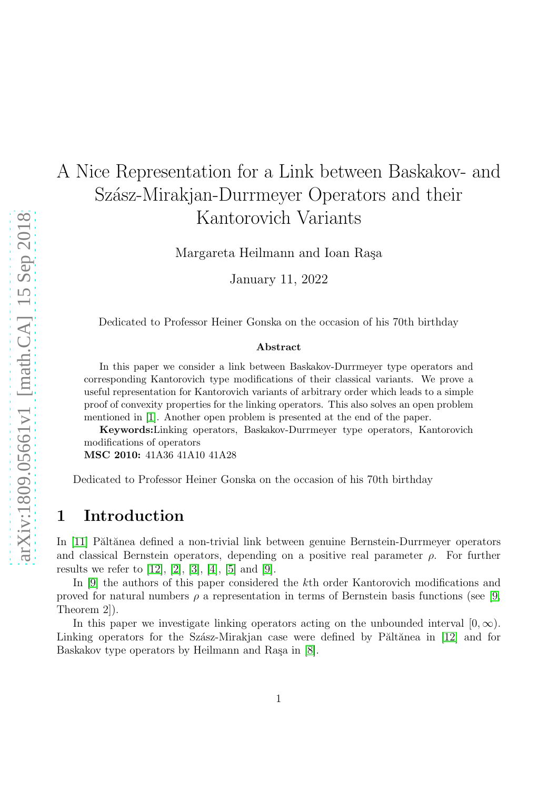# A Nice Representation for a Link between Baskakov- and Szász-Mirakjan-Durrmeyer Operators and their Kantorovich Variants

Margareta Heilmann and Ioan Raşa

January 11, 2022

Dedicated to Professor Heiner Gonska on the occasion of his 70th birthday

#### Abstract

In this paper we consider a link between Baskakov-Durrmeyer type operators and corresponding Kantorovich type modifications of their classical variants. We prove a useful representation for Kantorovich variants of arbitrary order which leads to a simple proof of convexity properties for the linking operators. This also solves an open problem mentioned in [\[1\]](#page-11-0). Another open problem is presented at the end of the paper.

Keywords:Linking operators, Baskakov-Durrmeyer type operators, Kantorovich modifications of operators

MSC 2010: 41A36 41A10 41A28

Dedicated to Professor Heiner Gonska on the occasion of his 70th birthday

### 1 Introduction

In [\[11\]](#page-12-0) Păltănea defined a non-trivial link between genuine Bernstein-Durrmeyer operators and classical Bernstein operators, depending on a positive real parameter  $\rho$ . For further results we refer to [\[12\]](#page-12-1), [\[2\]](#page-11-1), [\[3\]](#page-11-2), [\[4\]](#page-11-3), [\[5\]](#page-11-4) and [\[9\]](#page-12-2).

In [\[9\]](#page-12-2) the authors of this paper considered the kth order Kantorovich modifications and proved for natural numbers  $\rho$  a representation in terms of Bernstein basis functions (see [\[9,](#page-12-2) Theorem 2]).

In this paper we investigate linking operators acting on the unbounded interval  $[0, \infty)$ . Linking operators for the Szász-Mirakjan case were defined by Păltănea in [\[12\]](#page-12-1) and for Baskakov type operators by Heilmann and Rașa in [\[8\]](#page-11-5).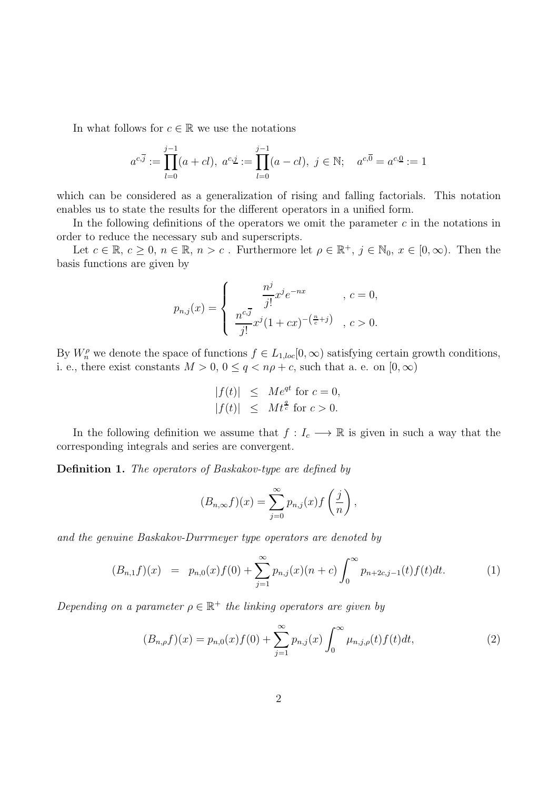In what follows for  $c \in \mathbb{R}$  we use the notations

$$
a^{c,\overline{j}} := \prod_{l=0}^{j-1} (a + cl), \ a^{c,\underline{j}} := \prod_{l=0}^{j-1} (a - cl), \ j \in \mathbb{N}; \quad a^{c,\overline{0}} = a^{c,\underline{0}} := 1
$$

which can be considered as a generalization of rising and falling factorials. This notation enables us to state the results for the different operators in a unified form.

In the following definitions of the operators we omit the parameter  $c$  in the notations in order to reduce the necessary sub and superscripts.

Let  $c \in \mathbb{R}, c \ge 0, n \in \mathbb{R}, n > c$ . Furthermore let  $\rho \in \mathbb{R}^+, j \in \mathbb{N}_0, x \in [0, \infty)$ . Then the basis functions are given by

$$
p_{n,j}(x) = \begin{cases} \frac{n^j}{j!} x^j e^{-nx} & , c = 0, \\ \frac{n^{c,\overline{j}}}{j!} x^j (1+cx)^{-\left(\frac{n}{c}+j\right)} & , c > 0. \end{cases}
$$

By  $W_n^{\rho}$  we denote the space of functions  $f \in L_{1,loc}[0,\infty)$  satisfying certain growth conditions, i. e., there exist constants  $M > 0$ ,  $0 \le q < n\rho + c$ , such that a. e. on  $[0, \infty)$ 

$$
|f(t)| \leq Me^{qt} \text{ for } c = 0,
$$
  

$$
|f(t)| \leq Mt^{\frac{q}{c}} \text{ for } c > 0.
$$

In the following definition we assume that  $f: I_c \longrightarrow \mathbb{R}$  is given in such a way that the corresponding integrals and series are convergent.

Definition 1. The operators of Baskakov-type are defined by

$$
(B_{n,\infty}f)(x) = \sum_{j=0}^{\infty} p_{n,j}(x) f\left(\frac{j}{n}\right),
$$

and the genuine Baskakov-Durrmeyer type operators are denoted by

<span id="page-1-0"></span>
$$
(B_{n,1}f)(x) = p_{n,0}(x)f(0) + \sum_{j=1}^{\infty} p_{n,j}(x)(n+c) \int_0^{\infty} p_{n+2c,j-1}(t)f(t)dt.
$$
 (1)

Depending on a parameter  $\rho \in \mathbb{R}^+$  the linking operators are given by

<span id="page-1-1"></span>
$$
(B_{n,\rho}f)(x) = p_{n,0}(x)f(0) + \sum_{j=1}^{\infty} p_{n,j}(x) \int_0^{\infty} \mu_{n,j,\rho}(t)f(t)dt,
$$
\n(2)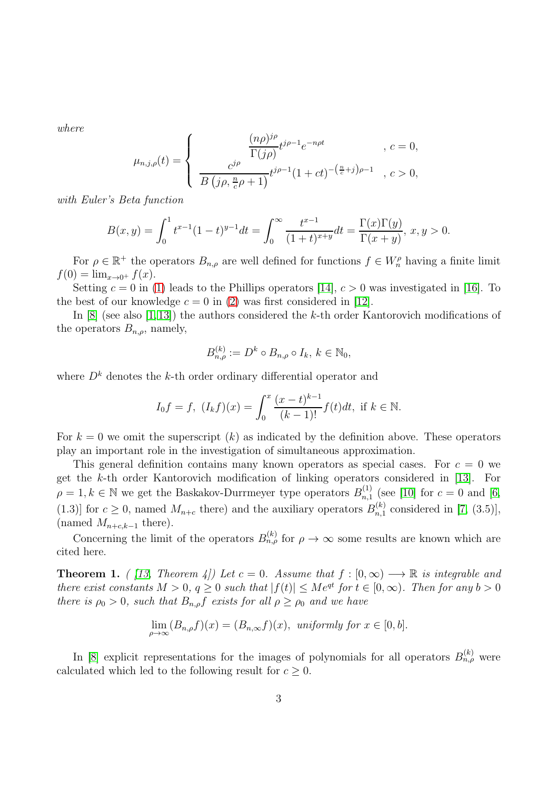where

$$
\mu_{n,j,\rho}(t) = \begin{cases}\n\frac{(n\rho)^{j\rho}}{\Gamma(j\rho)} t^{j\rho - 1} e^{-n\rho t} & , c = 0, \\
\frac{c^{j\rho}}{B(j\rho, \frac{n}{c}\rho + 1)} t^{j\rho - 1} (1 + ct)^{-(\frac{n}{c} + j)\rho - 1} & , c > 0,\n\end{cases}
$$

with Euler's Beta function

$$
B(x,y) = \int_0^1 t^{x-1}(1-t)^{y-1}dt = \int_0^\infty \frac{t^{x-1}}{(1+t)^{x+y}}dt = \frac{\Gamma(x)\Gamma(y)}{\Gamma(x+y)}, \ x, y > 0.
$$

For  $\rho \in \mathbb{R}^+$  the operators  $B_{n,\rho}$  are well defined for functions  $f \in W_n^{\rho}$  having a finite limit  $f(0) = \lim_{x \to 0^+} f(x)$ .

Setting  $c = 0$  in [\(1\)](#page-1-0) leads to the Phillips operators [\[14\]](#page-12-3),  $c > 0$  was investigated in [\[16\]](#page-12-4). To the best of our knowledge  $c = 0$  in [\(2\)](#page-1-1) was first considered in [\[12\]](#page-12-1).

In [\[8\]](#page-11-5) (see also [\[1,](#page-11-0)[13\]](#page-12-5)) the authors considered the k-th order Kantorovich modifications of the operators  $B_{n,\rho}$ , namely,

$$
B_{n,\rho}^{(k)} := D^k \circ B_{n,\rho} \circ I_k, \, k \in \mathbb{N}_0,
$$

where  $D<sup>k</sup>$  denotes the k-th order ordinary differential operator and

$$
I_0f = f, \ (I_kf)(x) = \int_0^x \frac{(x-t)^{k-1}}{(k-1)!} f(t)dt, \text{ if } k \in \mathbb{N}.
$$

For  $k = 0$  we omit the superscript  $(k)$  as indicated by the definition above. These operators play an important role in the investigation of simultaneous approximation.

This general definition contains many known operators as special cases. For  $c = 0$  we get the k-th order Kantorovich modification of linking operators considered in [\[13\]](#page-12-5). For  $\rho = 1, k \in \mathbb{N}$  we get the Baskakov-Durrmeyer type operators  $B_{n,1}^{(1)}$  $_{n,1}^{(1)}$  (see [\[10\]](#page-12-6) for  $c=0$  and [\[6,](#page-11-6) (1.3)] for  $c \geq 0$ , named  $M_{n+c}$  there) and the auxiliary operators  $B_{n,1}^{(k)}$  $_{n,1}^{(k)}$  considered in [\[7,](#page-11-7) (3.5)], (named  $M_{n+c,k-1}$  there).

Concerning the limit of the operators  $B_{n,\rho}^{(k)}$  for  $\rho \to \infty$  some results are known which are cited here.

<span id="page-2-0"></span>**Theorem 1.** ( [\[13,](#page-12-5) Theorem 4]) Let  $c = 0$ . Assume that  $f : [0, \infty) \longrightarrow \mathbb{R}$  is integrable and there exist constants  $M > 0$ ,  $q \ge 0$  such that  $|f(t)| \le Me^{qt}$  for  $t \in [0,\infty)$ . Then for any  $b > 0$ there is  $\rho_0 > 0$ , such that  $B_{n,\rho}f$  exists for all  $\rho \ge \rho_0$  and we have

$$
\lim_{\rho \to \infty} (B_{n,\rho}f)(x) = (B_{n,\infty}f)(x), \text{ uniformly for } x \in [0,b].
$$

In [\[8\]](#page-11-5) explicit representations for the images of polynomials for all operators  $B_{n,\rho}^{(k)}$  were calculated which led to the following result for  $c \geq 0$ .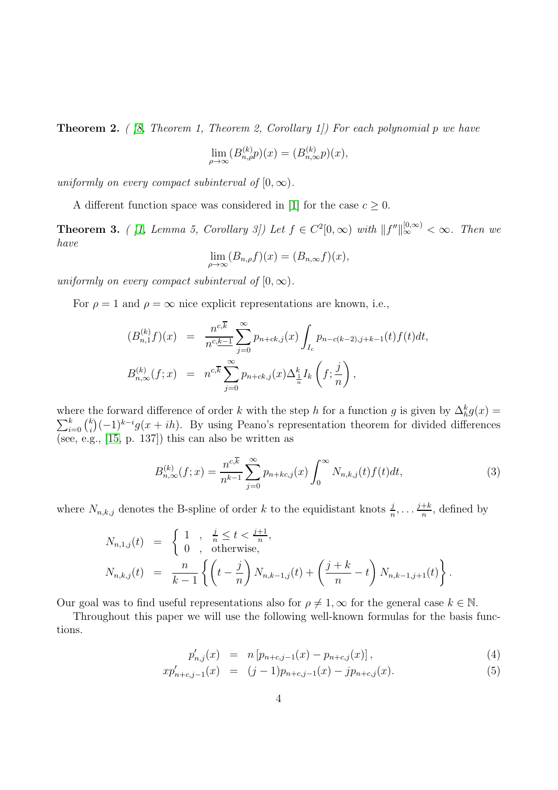<span id="page-3-1"></span>**Theorem 2.** (  $\beta$ , Theorem 1, Theorem 2, Corollary 1) For each polynomial p we have

$$
\lim_{\rho \to \infty} (B_{n,\rho}^{(k)} p)(x) = (B_{n,\infty}^{(k)} p)(x),
$$

uniformly on every compact subinterval of  $[0, \infty)$ .

A different function space was considered in [\[1\]](#page-11-0) for the case  $c \geq 0$ .

<span id="page-3-2"></span>**Theorem 3.** ( [\[1,](#page-11-0) Lemma 5, Corollary 3]) Let  $f \in C^2[0,\infty)$  with  $||f''||_{\infty}^{[0,\infty)} < \infty$ . Then we have

$$
\lim_{\rho \to \infty} (B_{n,\rho}f)(x) = (B_{n,\infty}f)(x),
$$

uniformly on every compact subinterval of  $[0, \infty)$ .

For  $\rho = 1$  and  $\rho = \infty$  nice explicit representations are known, i.e.,

$$
(B_{n,1}^{(k)}f)(x) = \frac{n^{c,\overline{k}}}{n^{c,\underline{k}-1}} \sum_{j=0}^{\infty} p_{n+ck,j}(x) \int_{I_c} p_{n-c(k-2),j+k-1}(t) f(t) dt,
$$
  

$$
B_{n,\infty}^{(k)}(f;x) = n^{c,\overline{k}} \sum_{j=0}^{\infty} p_{n+ck,j}(x) \Delta_{\frac{1}{n}}^k I_k \left(f; \frac{j}{n}\right),
$$

where the forward difference of order k with the step h for a function g is given by  $\Delta_h^k g(x) =$  $\sum_{i=0}^k \binom{k}{i}$  $\binom{k}{i}(-1)^{k-i}g(x+ih)$ . By using Peano's representation theorem for divided differences (see, e.g., [\[15,](#page-12-7) p. 137]) this can also be written as

$$
B_{n,\infty}^{(k)}(f;x) = \frac{n^{c,\overline{k}}}{n^{k-1}} \sum_{j=0}^{\infty} p_{n+kc,j}(x) \int_0^{\infty} N_{n,k,j}(t) f(t) dt,
$$
\n(3)

where  $N_{n,k,j}$  denotes the B-spline of order k to the equidistant knots  $\frac{j}{n}, \ldots \frac{j+k}{n}$  $\frac{+\kappa}{n}$ , defined by

$$
N_{n,1,j}(t) = \begin{cases} 1, & \frac{j}{n} \le t < \frac{j+1}{n}, \\ 0, & \text{otherwise}, \end{cases}
$$
  
\n
$$
N_{n,k,j}(t) = \frac{n}{k-1} \left\{ \left( t - \frac{j}{n} \right) N_{n,k-1,j}(t) + \left( \frac{j+k}{n} - t \right) N_{n,k-1,j+1}(t) \right\}.
$$

Our goal was to find useful representations also for  $\rho \neq 1$ ,  $\infty$  for the general case  $k \in \mathbb{N}$ .

Throughout this paper we will use the following well-known formulas for the basis functions.

<span id="page-3-0"></span>
$$
p'_{n,j}(x) = n [p_{n+c,j-1}(x) - p_{n+c,j}(x)], \qquad (4)
$$

$$
xp'_{n+c,j-1}(x) = (j-1)p_{n+c,j-1}(x) - jp_{n+c,j}(x).
$$
\n(5)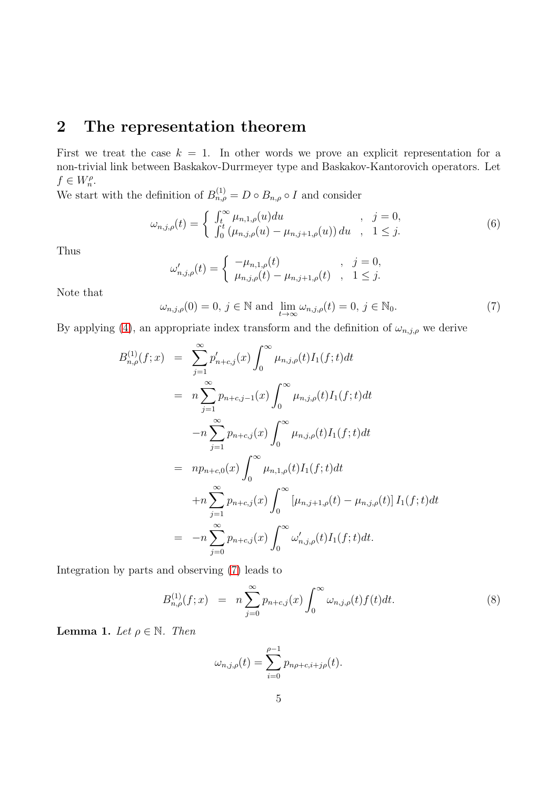## 2 The representation theorem

First we treat the case  $k = 1$ . In other words we prove an explicit representation for a non-trivial link between Baskakov-Durrmeyer type and Baskakov-Kantorovich operators. Let  $f \in W_n^{\rho}$ .

We start with the definition of  $B_{n,\rho}^{(1)} = D \circ B_{n,\rho} \circ I$  and consider

$$
\omega_{n,j,\rho}(t) = \begin{cases} \int_t^{\infty} \mu_{n,1,\rho}(u) du & , j = 0, \\ \int_0^t (\mu_{n,j,\rho}(u) - \mu_{n,j+1,\rho}(u)) du & , 1 \le j. \end{cases}
$$
(6)

Thus

$$
\omega'_{n,j,\rho}(t) = \begin{cases}\n-\mu_{n,1,\rho}(t) & , j = 0, \\
\mu_{n,j,\rho}(t) - \mu_{n,j+1,\rho}(t) & , 1 \leq j.\n\end{cases}
$$

Note that

<span id="page-4-0"></span>
$$
\omega_{n,j,\rho}(0) = 0, \ j \in \mathbb{N} \text{ and } \lim_{t \to \infty} \omega_{n,j,\rho}(t) = 0, \ j \in \mathbb{N}_0. \tag{7}
$$

By applying [\(4\)](#page-3-0), an appropriate index transform and the definition of  $\omega_{n,j,\rho}$  we derive

$$
B_{n,\rho}^{(1)}(f;x) = \sum_{j=1}^{\infty} p'_{n+c,j}(x) \int_0^{\infty} \mu_{n,j,\rho}(t) I_1(f;t) dt
$$
  
\n
$$
= n \sum_{j=1}^{\infty} p_{n+c,j-1}(x) \int_0^{\infty} \mu_{n,j,\rho}(t) I_1(f;t) dt
$$
  
\n
$$
-n \sum_{j=1}^{\infty} p_{n+c,j}(x) \int_0^{\infty} \mu_{n,j,\rho}(t) I_1(f;t) dt
$$
  
\n
$$
= np_{n+c,0}(x) \int_0^{\infty} \mu_{n,1,\rho}(t) I_1(f;t) dt
$$
  
\n
$$
+n \sum_{j=1}^{\infty} p_{n+c,j}(x) \int_0^{\infty} [\mu_{n,j+1,\rho}(t) - \mu_{n,j,\rho}(t)] I_1(f;t) dt
$$
  
\n
$$
= -n \sum_{j=0}^{\infty} p_{n+c,j}(x) \int_0^{\infty} \omega'_{n,j,\rho}(t) I_1(f;t) dt.
$$

Integration by parts and observing [\(7\)](#page-4-0) leads to

<span id="page-4-2"></span>
$$
B_{n,\rho}^{(1)}(f;x) = n \sum_{j=0}^{\infty} p_{n+c,j}(x) \int_0^{\infty} \omega_{n,j,\rho}(t) f(t) dt.
$$
 (8)

<span id="page-4-1"></span>**Lemma 1.** Let  $\rho \in \mathbb{N}$ . Then

$$
\omega_{n,j,\rho}(t) = \sum_{i=0}^{\rho-1} p_{n\rho+c,i+j\rho}(t).
$$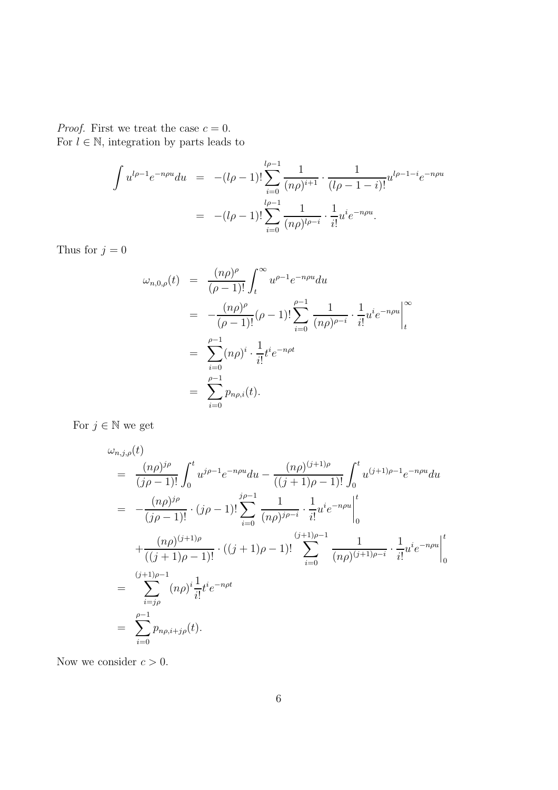*Proof.* First we treat the case  $c = 0$ . For  $l \in \mathbb{N}$ , integration by parts leads to

$$
\int u^{l\rho-1} e^{-n\rho u} du = -(l\rho-1)! \sum_{i=0}^{l\rho-1} \frac{1}{(n\rho)^{i+1}} \cdot \frac{1}{(l\rho-1-i)!} u^{l\rho-1-i} e^{-n\rho u}
$$

$$
= -(l\rho-1)! \sum_{i=0}^{l\rho-1} \frac{1}{(n\rho)^{l\rho-i}} \cdot \frac{1}{i!} u^i e^{-n\rho u}.
$$

Thus for  $j = 0$ 

$$
\omega_{n,0,\rho}(t) = \frac{(n\rho)^{\rho}}{(\rho-1)!} \int_{t}^{\infty} u^{\rho-1} e^{-n\rho u} du
$$
  
\n
$$
= -\frac{(n\rho)^{\rho}}{(\rho-1)!} (\rho-1)! \sum_{i=0}^{\rho-1} \frac{1}{(n\rho)^{\rho-i}} \cdot \frac{1}{i!} u^{i} e^{-n\rho u} \Big|_{t}^{\infty}
$$
  
\n
$$
= \sum_{i=0}^{\rho-1} (n\rho)^{i} \cdot \frac{1}{i!} t^{i} e^{-n\rho t}
$$
  
\n
$$
= \sum_{i=0}^{\rho-1} p_{n\rho,i}(t).
$$

For  $j \in \mathbb{N}$  we get

$$
\omega_{n,j,\rho}(t) = \frac{(n\rho)^{j\rho}}{(j\rho-1)!} \int_0^t u^{j\rho-1} e^{-n\rho u} du - \frac{(n\rho)^{(j+1)\rho}}{((j+1)\rho-1)!} \int_0^t u^{(j+1)\rho-1} e^{-n\rho u} du
$$
  
\n
$$
= -\frac{(n\rho)^{j\rho}}{(j\rho-1)!} \cdot (j\rho-1)! \sum_{i=0}^{j\rho-1} \frac{1}{(n\rho)^{j\rho-i}} \cdot \frac{1}{i!} u^i e^{-n\rho u} \Big|_0^t
$$
  
\n
$$
+ \frac{(n\rho)^{(j+1)\rho}}{((j+1)\rho-1)!} \cdot ((j+1)\rho-1)! \sum_{i=0}^{(j+1)\rho-1} \frac{1}{(n\rho)^{(j+1)\rho-i}} \cdot \frac{1}{i!} u^i e^{-n\rho u} \Big|_0^t
$$
  
\n
$$
= \sum_{i=j\rho}^{(j+1)\rho-1} (n\rho)^i \frac{1}{i!} t^i e^{-n\rho t}
$$
  
\n
$$
= \sum_{i=0}^{\rho-1} p_{n\rho,i+j\rho}(t).
$$

Now we consider  $c > 0$ .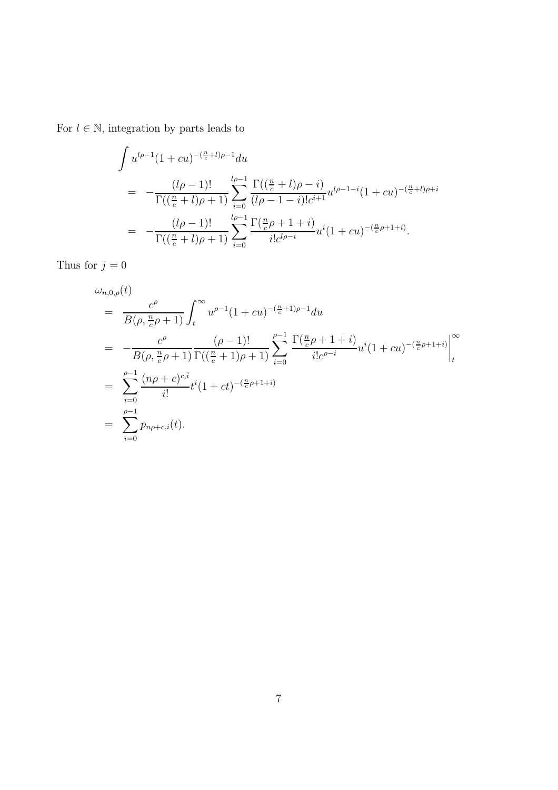For  $l \in \mathbb{N}$ , integration by parts leads to

$$
\int u^{l\rho-1} (1+cu)^{-(\frac{n}{c}+l)\rho-1} du
$$
\n
$$
= -\frac{(l\rho-1)!}{\Gamma((\frac{n}{c}+l)\rho+1)} \sum_{i=0}^{l\rho-1} \frac{\Gamma((\frac{n}{c}+l)\rho-i)}{(l\rho-1-i)!c^{i+1}} u^{l\rho-1-i} (1+cu)^{-(\frac{n}{c}+l)\rho+i}
$$
\n
$$
= -\frac{(l\rho-1)!}{\Gamma((\frac{n}{c}+l)\rho+1)} \sum_{i=0}^{l\rho-1} \frac{\Gamma(\frac{n}{c}\rho+1+i)}{i!c^{l\rho-i}} u^{i} (1+cu)^{-(\frac{n}{c}\rho+1+i)}.
$$

Thus for  $j=0$ 

$$
\omega_{n,0,\rho}(t) = \frac{c^{\rho}}{B(\rho, \frac{n}{c}\rho + 1)} \int_{t}^{\infty} u^{\rho-1} (1 + cu)^{-(\frac{n}{c}+1)\rho-1} du
$$
  
\n
$$
= -\frac{c^{\rho}}{B(\rho, \frac{n}{c}\rho + 1)} \frac{(\rho - 1)!}{\Gamma((\frac{n}{c}+1)\rho + 1)} \sum_{i=0}^{\rho-1} \frac{\Gamma(\frac{n}{c}\rho + 1 + i)}{i!c^{\rho - i}} u^{i} (1 + cu)^{-(\frac{n}{c}\rho + 1 + i)} \Big|_{t}^{\infty}
$$
  
\n
$$
= \sum_{i=0}^{\rho-1} \frac{(n\rho + c)^{c_i \overline{i}}}{i!} t^{i} (1 + ct)^{-(\frac{n}{c}\rho + 1 + i)}
$$
  
\n
$$
= \sum_{i=0}^{\rho-1} p_{n\rho + c_i}(t).
$$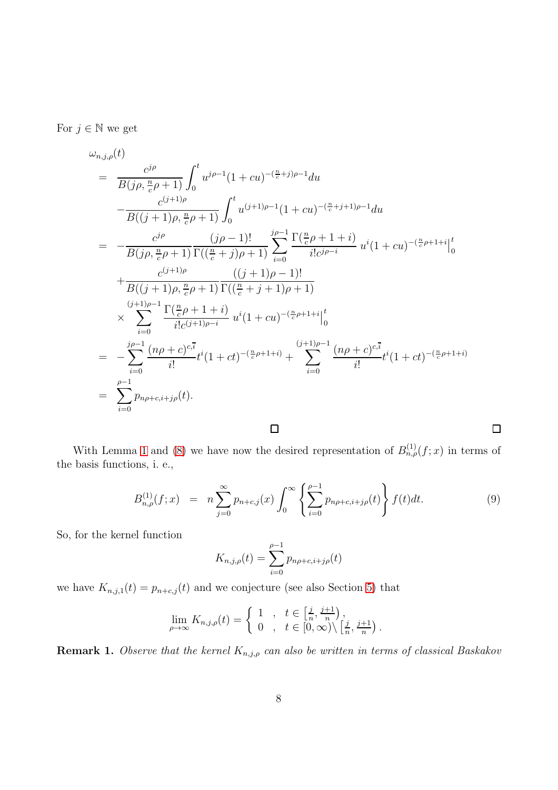For  $j \in \mathbb{N}$  we get

$$
\omega_{n,j,\rho}(t) = \frac{c^{j\rho}}{B(j\rho,\frac{n}{c}\rho+1)} \int_0^t u^{j\rho-1}(1+cu)^{-(\frac{n}{c}+j)\rho-1} du \n- \frac{c^{(j+1)\rho}}{B((j+1)\rho,\frac{n}{c}\rho+1)} \int_0^t u^{(j+1)\rho-1}(1+cu)^{-(\frac{n}{c}+j+1)\rho-1} du \n= - \frac{c^{j\rho}}{B(j\rho,\frac{n}{c}\rho+1)} \frac{(j\rho-1)!}{\Gamma((\frac{n}{c}+j)\rho+1)} \sum_{i=0}^{j\rho-1} \frac{\Gamma(\frac{n}{c}\rho+1+i)}{i!c^{j\rho-i}} u^i(1+cu)^{-(\frac{n}{c}\rho+1+i)} \Big|_0^t \n+ \frac{c^{(j+1)\rho}}{B((j+1)\rho,\frac{n}{c}\rho+1)} \frac{((j+1)\rho-1)!}{\Gamma((\frac{n}{c}+j+1)\rho+1)} \n\times \sum_{i=0}^{(j+1)\rho-1} \frac{\Gamma(\frac{n}{c}\rho+1+i)}{i!c^{(j+1)\rho-i}} u^i(1+cu)^{-(\frac{n}{c}\rho+1+i)} \Big|_0^t \n= - \sum_{i=0}^{j\rho-1} \frac{(n\rho+c)^{c,i}}{i!} t^i(1+ct)^{-(\frac{n}{c}\rho+1+i)} + \sum_{i=0}^{(j+1)\rho-1} \frac{(n\rho+c)^{c,i}}{i!} t^i(1+ct)^{-(\frac{n}{c}\rho+1+i)} \n= \sum_{i=0}^{\rho-1} p_{n\rho+c,i+j\rho}(t).
$$

With Lemma [1](#page-4-1) and [\(8\)](#page-4-2) we have now the desired representation of  $B_{n,\rho}^{(1)}(f; x)$  in terms of the basis functions, i. e.,

<span id="page-7-0"></span>
$$
B_{n,\rho}^{(1)}(f;x) = n \sum_{j=0}^{\infty} p_{n+c,j}(x) \int_0^{\infty} \left\{ \sum_{i=0}^{\rho-1} p_{n\rho+c,i+j\rho}(t) \right\} f(t)dt.
$$
 (9)

 $\Box$ 

So, for the kernel function

$$
K_{n,j,\rho}(t) = \sum_{i=0}^{\rho-1} p_{n\rho+c,i+j\rho}(t)
$$

we have  $K_{n,j,1}(t) = p_{n+c,j}(t)$  and we conjecture (see also Section [5\)](#page-10-0) that

$$
\lim_{\rho \to \infty} K_{n,j,\rho}(t) = \begin{cases} 1, & t \in \left[\frac{j}{n}, \frac{j+1}{n}\right), \\ 0, & t \in \left[0, \infty\right) \setminus \left[\frac{j}{n}, \frac{j+1}{n}\right). \end{cases}
$$

**Remark 1.** Observe that the kernel  $K_{n,j,\rho}$  can also be written in terms of classical Baskakov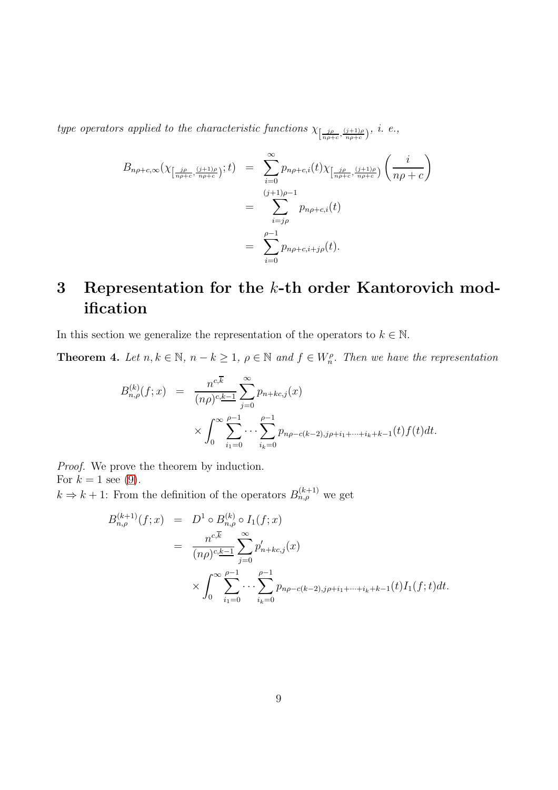type operators applied to the characteristic functions  $\chi_{\left[\frac{j\rho}{n\rho+c},\frac{(j+1)\rho}{n\rho+c}\right)}$ , i. e.,

$$
B_{n\rho+c,\infty}(\chi_{\left[\frac{j\rho}{n\rho+c},\frac{(j+1)\rho}{n\rho+c}\right)};t) = \sum_{i=0}^{\infty} p_{n\rho+c,i}(t)\chi_{\left[\frac{j\rho}{n\rho+c},\frac{(j+1)\rho}{n\rho+c}\right)}\left(\frac{i}{n\rho+c}\right)
$$
  

$$
= \sum_{i=j\rho}^{(j+1)\rho-1} p_{n\rho+c,i}(t)
$$
  

$$
= \sum_{i=0}^{\rho-1} p_{n\rho+c,i+j\rho}(t).
$$

## 3 Representation for the k-th order Kantorovich modification

In this section we generalize the representation of the operators to  $k \in \mathbb{N}$ .

<span id="page-8-0"></span>**Theorem 4.** Let  $n, k \in \mathbb{N}$ ,  $n - k \geq 1$ ,  $\rho \in \mathbb{N}$  and  $f \in W_n^{\rho}$ . Then we have the representation

$$
B_{n,\rho}^{(k)}(f;x) = \frac{n^{c,\overline{k}}}{(n\rho)^{c,\underline{k-1}}} \sum_{j=0}^{\infty} p_{n+kc,j}(x)
$$
  
 
$$
\times \int_0^{\infty} \sum_{i_1=0}^{\rho-1} \cdots \sum_{i_k=0}^{\rho-1} p_{n\rho-c(k-2),j\rho+i_1+\cdots+i_k+k-1}(t) f(t) dt.
$$

Proof. We prove the theorem by induction. For  $k = 1$  see [\(9\)](#page-7-0).

 $k \Rightarrow k+1$ : From the definition of the operators  $B_{n,\rho}^{(k+1)}$  we get

$$
B_{n,\rho}^{(k+1)}(f;x) = D^1 \circ B_{n,\rho}^{(k)} \circ I_1(f;x)
$$
  
= 
$$
\frac{n^{c,\overline{k}}}{(n\rho)^{c,\underline{k-1}}} \sum_{j=0}^{\infty} p'_{n+kc,j}(x)
$$
  

$$
\times \int_0^{\infty} \sum_{i_1=0}^{\rho-1} \cdots \sum_{i_k=0}^{\rho-1} p_{n\rho-c(k-2),j\rho+i_1+\cdots+i_k+k-1}(t) I_1(f;t) dt.
$$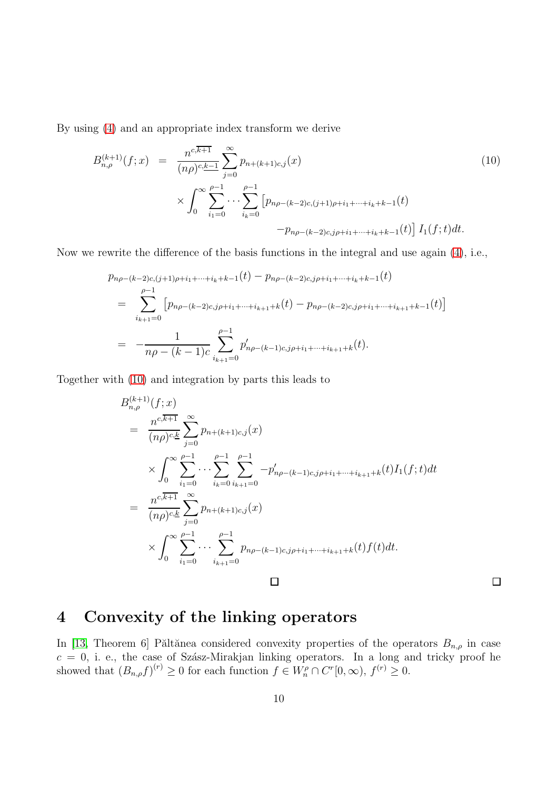By using [\(4\)](#page-3-0) and an appropriate index transform we derive

<span id="page-9-0"></span>
$$
B_{n,\rho}^{(k+1)}(f;x) = \frac{n^{c,\overline{k+1}}}{(n\rho)^{c,\underline{k-1}}} \sum_{j=0}^{\infty} p_{n+(k+1)c,j}(x)
$$
  

$$
\times \int_0^{\infty} \sum_{i_1=0}^{\rho-1} \cdots \sum_{i_k=0}^{\rho-1} \left[ p_{n\rho-(k-2)c,(j+1)\rho+i_1+\cdots+i_k+k-1}(t) -p_{n\rho-(k-2)c,j\rho+i_1+\cdots+i_k+k-1}(t) \right] I_1(f;t)dt.
$$
  
(10)

Now we rewrite the difference of the basis functions in the integral and use again [\(4\)](#page-3-0), i.e.,

$$
p_{n\rho-(k-2)c,(j+1)\rho+i_1+\cdots+i_k+k-1}(t) - p_{n\rho-(k-2)c,j\rho+i_1+\cdots+i_k+k-1}(t)
$$
  
= 
$$
\sum_{i_{k+1}=0}^{\rho-1} \left[ p_{n\rho-(k-2)c,j\rho+i_1+\cdots+i_{k+1}+k}(t) - p_{n\rho-(k-2)c,j\rho+i_1+\cdots+i_{k+1}+k-1}(t) \right]
$$
  
= 
$$
-\frac{1}{n\rho-(k-1)c} \sum_{i_{k+1}=0}^{\rho-1} p'_{n\rho-(k-1)c,j\rho+i_1+\cdots+i_{k+1}+k}(t).
$$

Together with [\(10\)](#page-9-0) and integration by parts this leads to

$$
B_{n,\rho}^{(k+1)}(f;x)
$$
\n
$$
= \frac{n^{c,\overline{k+1}}}{(n\rho)^{c,\underline{k}}} \sum_{j=0}^{\infty} p_{n+(k+1)c,j}(x)
$$
\n
$$
\times \int_{0}^{\infty} \sum_{i_1=0}^{\rho-1} \cdots \sum_{i_k=0}^{\rho-1} \sum_{i_{k+1}=0}^{\rho-1} -p'_{n\rho-(k-1)c,j\rho+i_1+\cdots+i_{k+1}+k}(t)I_1(f;t)dt
$$
\n
$$
= \frac{n^{c,\overline{k+1}}}{(n\rho)^{c,\underline{k}}} \sum_{j=0}^{\infty} p_{n+(k+1)c,j}(x)
$$
\n
$$
\times \int_{0}^{\infty} \sum_{i_1=0}^{\rho-1} \cdots \sum_{i_{k+1}=0}^{\rho-1} p_{n\rho-(k-1)c,j\rho+i_1+\cdots+i_{k+1}+k}(t) f(t)dt.
$$

#### $\Box$

## 4 Convexity of the linking operators

In [\[13,](#page-12-5) Theorem 6] Păltănea considered convexity properties of the operators  $B_{n,\rho}$  in case  $c = 0$ , i. e., the case of Szász-Mirakjan linking operators. In a long and tricky proof he showed that  $(B_{n,\rho}f)^{(r)} \geq 0$  for each function  $f \in W_n^{\rho} \cap C^r[0,\infty)$ ,  $f^{(r)} \geq 0$ .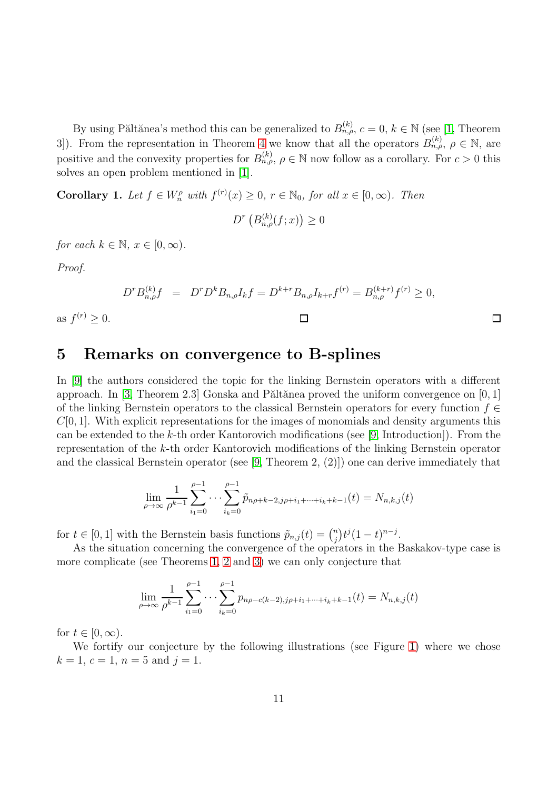By using Păltănea's method this can be generalized to  $B_{n,\rho}^{(k)}$ ,  $c = 0, k \in \mathbb{N}$  (see [\[1,](#page-11-0) Theorem 3]). From the representation in Theorem [4](#page-8-0) we know that all the operators  $B_{n,\rho}^{(k)}$ ,  $\rho \in \mathbb{N}$ , are positive and the convexity properties for  $B_{n,\rho}^{(k)}$ ,  $\rho \in \mathbb{N}$  now follow as a corollary. For  $c > 0$  this solves an open problem mentioned in [\[1\]](#page-11-0).

**Corollary 1.** Let  $f \in W_n^{\rho}$  with  $f^{(r)}(x) \geq 0$ ,  $r \in \mathbb{N}_0$ , for all  $x \in [0, \infty)$ . Then

 $D^{r}\left(B_{n,\rho}^{(k)}(f;x)\right)\geq 0$ 

for each  $k \in \mathbb{N}, x \in [0, \infty)$ .

Proof.

<span id="page-10-0"></span>as  $f^{(r)} \geq 0$ .

$$
D^r B_{n,\rho}^{(k)} f = D^r D^k B_{n,\rho} I_k f = D^{k+r} B_{n,\rho} I_{k+r} f^{(r)} = B_{n,\rho}^{(k+r)} f^{(r)} \ge 0,
$$

#### 5 Remarks on convergence to B-splines

In [\[9\]](#page-12-2) the authors considered the topic for the linking Bernstein operators with a different approach. In [\[3,](#page-11-2) Theorem 2.3] Gonska and Păltănea proved the uniform convergence on  $[0, 1]$ of the linking Bernstein operators to the classical Bernstein operators for every function  $f \in$  $C[0, 1]$ . With explicit representations for the images of monomials and density arguments this can be extended to the  $k$ -th order Kantorovich modifications (see [\[9,](#page-12-2) Introduction]). From the representation of the k-th order Kantorovich modifications of the linking Bernstein operator and the classical Bernstein operator (see [\[9,](#page-12-2) Theorem 2, (2)]) one can derive immediately that

$$
\lim_{\rho \to \infty} \frac{1}{\rho^{k-1}} \sum_{i_1=0}^{\rho-1} \cdots \sum_{i_k=0}^{\rho-1} \tilde{p}_{n\rho+k-2,j\rho+i_1+\cdots+i_k+k-1}(t) = N_{n,k,j}(t)
$$

for  $t \in [0, 1]$  with the Bernstein basis functions  $\tilde{p}_{n,j}(t) = \binom{n}{i}$  $\binom{n}{j} t^j (1-t)^{n-j}.$ 

As the situation concerning the convergence of the operators in the Baskakov-type case is more complicate (see Theorems [1,](#page-2-0) [2](#page-3-1) and [3\)](#page-3-2) we can only conjecture that

$$
\lim_{\rho \to \infty} \frac{1}{\rho^{k-1}} \sum_{i_1=0}^{\rho-1} \cdots \sum_{i_k=0}^{\rho-1} p_{n\rho-c(k-2),j\rho+i_1+\cdots+i_k+k-1}(t) = N_{n,k,j}(t)
$$

for  $t \in [0, \infty)$ .

We fortify our conjecture by the following illustrations (see Figure [1\)](#page-11-8) where we chose  $k = 1, c = 1, n = 5 \text{ and } j = 1.$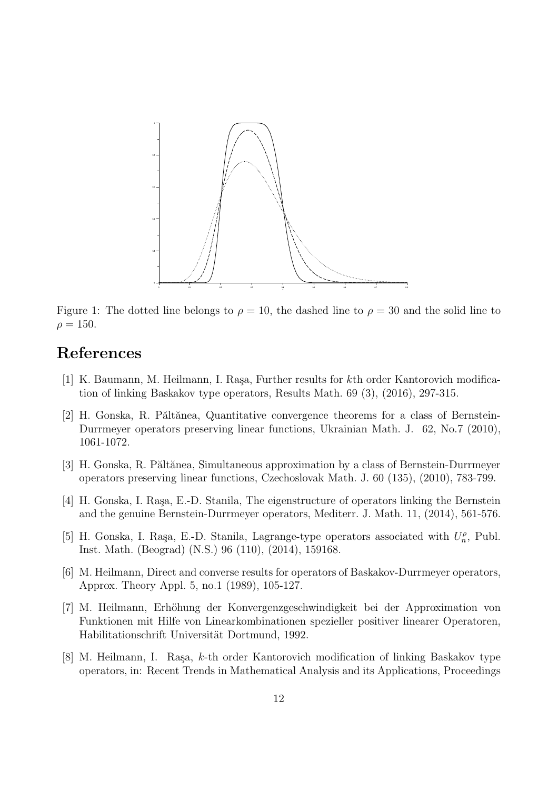

<span id="page-11-8"></span>Figure 1: The dotted line belongs to  $\rho = 10$ , the dashed line to  $\rho = 30$  and the solid line to  $\rho = 150.$ 

### <span id="page-11-0"></span>References

- <span id="page-11-1"></span>[1] K. Baumann, M. Heilmann, I. Raşa, Further results for kth order Kantorovich modification of linking Baskakov type operators, Results Math. 69 (3), (2016), 297-315.
- [2] H. Gonska, R. Păltănea, Quantitative convergence theorems for a class of Bernstein-Durrmeyer operators preserving linear functions, Ukrainian Math. J. 62, No.7 (2010), 1061-1072.
- <span id="page-11-3"></span><span id="page-11-2"></span>[3] H. Gonska, R. Păltănea, Simultaneous approximation by a class of Bernstein-Durrmeyer operators preserving linear functions, Czechoslovak Math. J. 60 (135), (2010), 783-799.
- [4] H. Gonska, I. Rașa, E.-D. Stanila, The eigenstructure of operators linking the Bernstein and the genuine Bernstein-Durrmeyer operators, Mediterr. J. Math. 11, (2014), 561-576.
- <span id="page-11-4"></span>[5] H. Gonska, I. Raşa, E.-D. Stanila, Lagrange-type operators associated with  $U_n^{\rho}$ , Publ. Inst. Math. (Beograd) (N.S.) 96 (110), (2014), 159168.
- <span id="page-11-6"></span>[6] M. Heilmann, Direct and converse results for operators of Baskakov-Durrmeyer operators, Approx. Theory Appl. 5, no.1 (1989), 105-127.
- <span id="page-11-7"></span>[7] M. Heilmann, Erhöhung der Konvergenzgeschwindigkeit bei der Approximation von Funktionen mit Hilfe von Linearkombinationen spezieller positiver linearer Operatoren, Habilitationschrift Universität Dortmund, 1992.
- <span id="page-11-5"></span>[8] M. Heilmann, I. Rașa,  $k$ -th order Kantorovich modification of linking Baskakov type operators, in: Recent Trends in Mathematical Analysis and its Applications, Proceedings